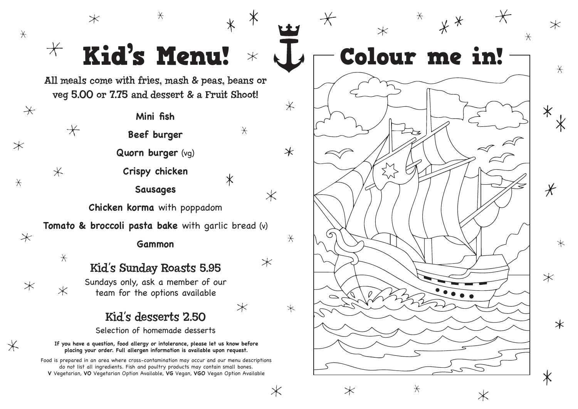